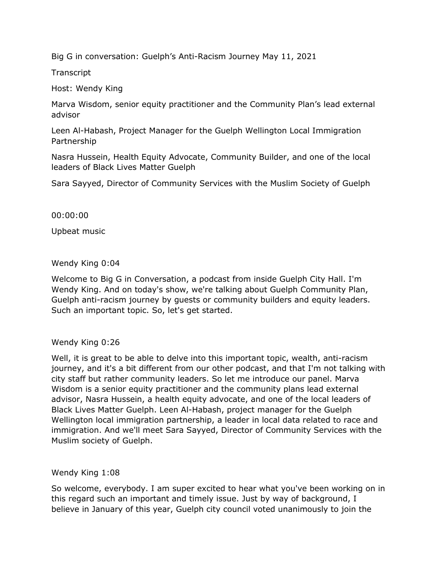Big G in conversation: Guelph's Anti-Racism Journey May 11, 2021

**Transcript** 

Host: Wendy King

 Marva Wisdom, senior equity practitioner and the Community Plan's lead external advisor

Leen Al-Habash, Project Manager for the Guelph Wellington Local Immigration Partnership

 Nasra Hussein, Health Equity Advocate, Community Builder, and one of the local leaders of Black Lives Matter Guelph

Sara Sayyed, Director of Community Services with the Muslim Society of Guelph

00:00:00

Upbeat music

Wendy King 0:04

Wendy King 0:04<br>Welcome to Big G in Conversation, a podcast from inside Guelph City Hall. I'm Wendy King. And on today's show, we're talking about Guelph Community Plan, Guelph anti-racism journey by guests or community builders and equity leaders. Such an important topic. So, let's get started.

Wendy King 0:26

Wendy King 0:26<br>Well, it is great to be able to delve into this important topic, wealth, anti-racism journey, and it's a bit different from our other podcast, and that I'm not talking with city staff but rather community leaders. So let me introduce our panel. Marva Wisdom is a senior equity practitioner and the community plans lead external advisor, Nasra Hussein, a health equity advocate, and one of the local leaders of Wellington local immigration partnership, a leader in local data related to race and immigration. And we'll meet Sara Sayyed, Director of Community Services with the Black Lives Matter Guelph. Leen Al-Habash, project manager for the Guelph Muslim society of Guelph.

Wendy King 1:08

Wendy King 1:08<br>So welcome, everybody. I am super excited to hear what you've been working on in this regard such an important and timely issue. Just by way of background, I believe in January of this year, Guelph city council voted unanimously to join the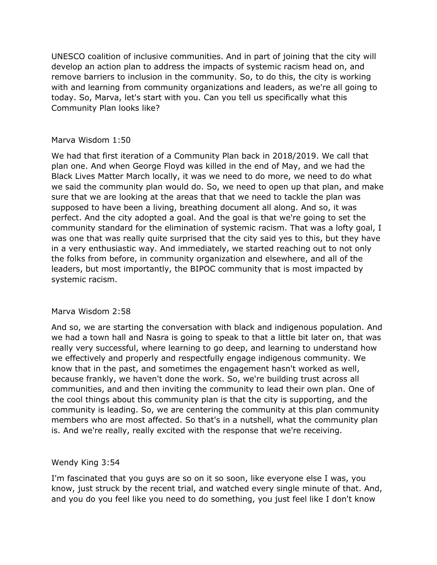UNESCO coalition of inclusive communities. And in part of joining that the city will develop an action plan to address the impacts of systemic racism head on, and remove barriers to inclusion in the community. So, to do this, the city is working with and learning from community organizations and leaders, as we're all going to today. So, Marva, let's start with you. Can you tell us specifically what this Community Plan looks like?

# Marva Wisdom 1:50

Marva Wisdom 1:50<br>We had that first iteration of a Community Plan back in 2018/2019. We call that plan one. And when George Floyd was killed in the end of May, and we had the we said the community plan would do. So, we need to open up that plan, and make supposed to have been a living, breathing document all along. And so, it was perfect. And the city adopted a goal. And the goal is that we're going to set the community standard for the elimination of systemic racism. That was a lofty goal, I was one that was really quite surprised that the city said yes to this, but they have in a very enthusiastic way. And immediately, we started reaching out to not only the folks from before, in community organization and elsewhere, and all of the leaders, but most importantly, the BIPOC community that is most impacted by Black Lives Matter March locally, it was we need to do more, we need to do what sure that we are looking at the areas that that we need to tackle the plan was systemic racism.

# Marva Wisdom 2:58

Marva Wisdom 2:58<br>And so, we are starting the conversation with black and indigenous population. And we had a town hall and Nasra is going to speak to that a little bit later on, that was really very successful, where learning to go deep, and learning to understand how we effectively and properly and respectfully engage indigenous community. We know that in the past, and sometimes the engagement hasn't worked as well, because frankly, we haven't done the work. So, we're building trust across all communities, and and then inviting the community to lead their own plan. One of the cool things about this community plan is that the city is supporting, and the members who are most affected. So that's in a nutshell, what the community plan is. And we're really, really excited with the response that we're receiving. community is leading. So, we are centering the community at this plan community

# Wendy King 3:54

 know, just struck by the recent trial, and watched every single minute of that. And, and you do you feel like you need to do something, you just feel like I don't know I'm fascinated that you guys are so on it so soon, like everyone else I was, you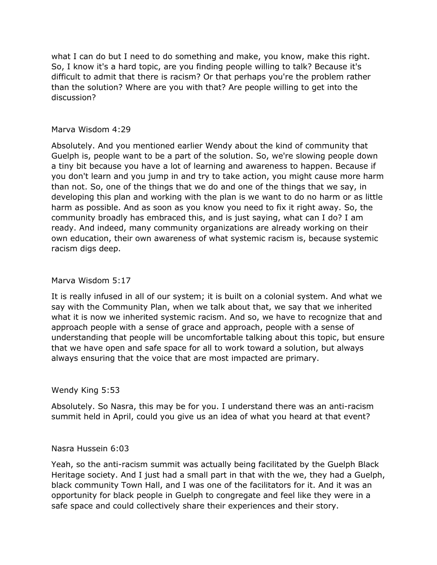what I can do but I need to do something and make, you know, make this right. So, I know it's a hard topic, are you finding people willing to talk? Because it's difficult to admit that there is racism? Or that perhaps you're the problem rather than the solution? Where are you with that? Are people willing to get into the discussion?

## Marva Wisdom 4:29

Marva Wisdom 4:29<br>Absolutely. And you mentioned earlier Wendy about the kind of community that a tiny bit because you have a lot of learning and awareness to happen. Because if you don't learn and you jump in and try to take action, you might cause more harm developing this plan and working with the plan is we want to do no harm or as little harm as possible. And as soon as you know you need to fix it right away. So, the community broadly has embraced this, and is just saying, what can I do? I am ready. And indeed, many community organizations are already working on their own education, their own awareness of what systemic racism is, because systemic Guelph is, people want to be a part of the solution. So, we're slowing people down than not. So, one of the things that we do and one of the things that we say, in racism digs deep.

### Marva Wisdom 5:17

Marva Wisdom 5:17<br>It is really infused in all of our system; it is built on a colonial system. And what we say with the Community Plan, when we talk about that, we say that we inherited what it is now we inherited systemic racism. And so, we have to recognize that and approach people with a sense of grace and approach, people with a sense of understanding that people will be uncomfortable talking about this topic, but ensure that we have open and safe space for all to work toward a solution, but always always ensuring that the voice that are most impacted are primary.

# Wendy King 5:53

Wendy King 5:53<br>Absolutely. So Nasra, this may be for you. I understand there was an anti-racism summit held in April, could you give us an idea of what you heard at that event?

### Nasra Hussein 6:03

Nasra Hussein 6:03<br>Yeah, so the anti-racism summit was actually being facilitated by the Guelph Black Heritage society. And I just had a small part in that with the we, they had a Guelph, black community Town Hall, and I was one of the facilitators for it. And it was an opportunity for black people in Guelph to congregate and feel like they were in a safe space and could collectively share their experiences and their story.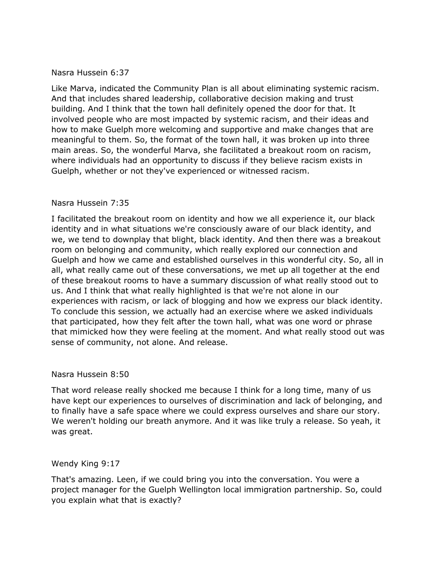# Nasra Hussein 6:37

 And that includes shared leadership, collaborative decision making and trust building. And I think that the town hall definitely opened the door for that. It involved people who are most impacted by systemic racism, and their ideas and how to make Guelph more welcoming and supportive and make changes that are meaningful to them. So, the format of the town hall, it was broken up into three main areas. So, the wonderful Marva, she facilitated a breakout room on racism, where individuals had an opportunity to discuss if they believe racism exists in Like Marva, indicated the Community Plan is all about eliminating systemic racism. Guelph, whether or not they've experienced or witnessed racism.

## Nasra Hussein 7:35

Nasra Hussein 7:35<br>I facilitated the breakout room on identity and how we all experience it, our black identity and in what situations we're consciously aware of our black identity, and we, we tend to downplay that blight, black identity. And then there was a breakout room on belonging and community, which really explored our connection and Guelph and how we came and established ourselves in this wonderful city. So, all in all, what really came out of these conversations, we met up all together at the end of these breakout rooms to have a summary discussion of what really stood out to us. And I think that what really highlighted is that we're not alone in our experiences with racism, or lack of blogging and how we express our black identity. To conclude this session, we actually had an exercise where we asked individuals that participated, how they felt after the town hall, what was one word or phrase that mimicked how they were feeling at the moment. And what really stood out was sense of community, not alone. And release.

### Nasra Hussein 8:50

Nasra Hussein 8:50<br>That word release really shocked me because I think for a long time, many of us have kept our experiences to ourselves of discrimination and lack of belonging, and to finally have a safe space where we could express ourselves and share our story. We weren't holding our breath anymore. And it was like truly a release. So yeah, it was great.

# Wendy King 9:17

Wendy King 9:17<br>That's amazing. Leen, if we could bring you into the conversation. You were a project manager for the Guelph Wellington local immigration partnership. So, could you explain what that is exactly?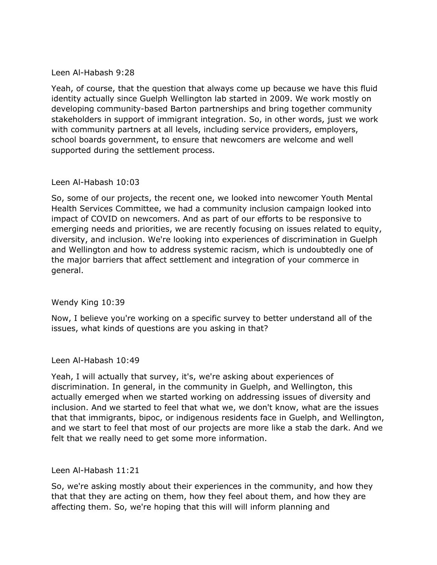# Leen Al-Habash 9:28

Leen Al-Habash 9:28<br>Yeah, of course, that the question that always come up because we have this fluid identity actually since Guelph Wellington lab started in 2009. We work mostly on developing community-based Barton partnerships and bring together community stakeholders in support of immigrant integration. So, in other words, just we work with community partners at all levels, including service providers, employers, supported during the settlement process. school boards government, to ensure that newcomers are welcome and well

## Leen Al-Habash 10:03

Leen Al-Habash 10:03<br>So, some of our projects, the recent one, we looked into newcomer Youth Mental Health Services Committee, we had a community inclusion campaign looked into impact of COVID on newcomers. And as part of our efforts to be responsive to emerging needs and priorities, we are recently focusing on issues related to equity, diversity, and inclusion. We're looking into experiences of discrimination in Guelph and Wellington and how to address systemic racism, which is undoubtedly one of the major barriers that affect settlement and integration of your commerce in general.

# Wendy King 10:39

Wendy King 10:39<br>Now, I believe you're working on a specific survey to better understand all of the issues, what kinds of questions are you asking in that?

Leen Al-Habash 10:49

Leen Al-Habash 10:49<br>Yeah, I will actually that survey, it's, we're asking about experiences of discrimination. In general, in the community in Guelph, and Wellington, this actually emerged when we started working on addressing issues of diversity and inclusion. And we started to feel that what we, we don't know, what are the issues that that immigrants, bipoc, or indigenous residents face in Guelph, and Wellington, and we start to feel that most of our projects are more like a stab the dark. And we felt that we really need to get some more information.

Leen Al-Habash 11:21

Leen Al-Habash 11:21<br>So, we're asking mostly about their experiences in the community, and how they that that they are acting on them, how they feel about them, and how they are affecting them. So, we're hoping that this will will inform planning and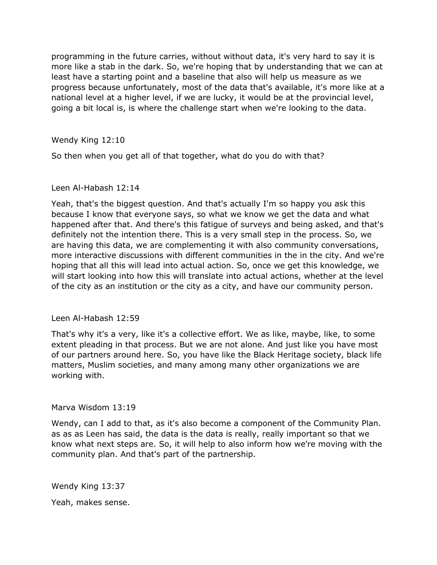programming in the future carries, without without data, it's very hard to say it is more like a stab in the dark. So, we're hoping that by understanding that we can at least have a starting point and a baseline that also will help us measure as we national level at a higher level, if we are lucky, it would be at the provincial level, going a bit local is, is where the challenge start when we're looking to the data. progress because unfortunately, most of the data that's available, it's more like at a

Wendy King 12:10

Wendy King 12:10<br>So then when you get all of that together, what do you do with that?

### Leen Al-Habash 12:14

Leen Al-Habash 12:14<br>Yeah, that's the biggest question. And that's actually I'm so happy you ask this because I know that everyone says, so what we know we get the data and what happened after that. And there's this fatigue of surveys and being asked, and that's definitely not the intention there. This is a very small step in the process. So, we are having this data, we are complementing it with also community conversations, more interactive discussions with different communities in the in the city. And we're will start looking into how this will translate into actual actions, whether at the level of the city as an institution or the city as a city, and have our community person. hoping that all this will lead into actual action. So, once we get this knowledge, we

### Leen Al-Habash 12:59

Leen Al-Habash 12:59<br>That's why it's a very, like it's a collective effort. We as like, maybe, like, to some extent pleading in that process. But we are not alone. And just like you have most of our partners around here. So, you have like the Black Heritage society, black life matters, Muslim societies, and many among many other organizations we are working with.

### Marva Wisdom 13:19

Marva Wisdom 13:19<br>Wendy, can I add to that, as it's also become a component of the Community Plan. as as as Leen has said, the data is the data is really, really important so that we know what next steps are. So, it will help to also inform how we're moving with the community plan. And that's part of the partnership.

Wendy King 13:37

Yeah, makes sense.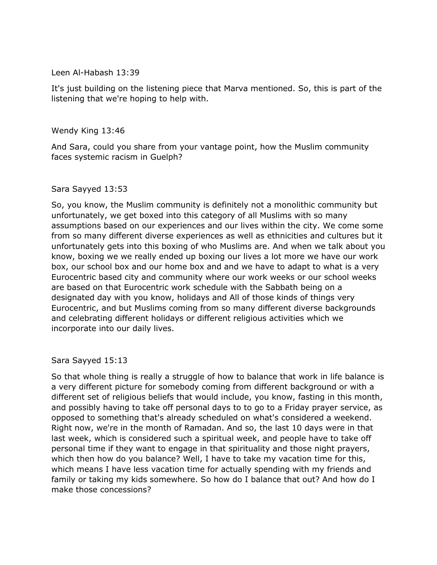Leen Al-Habash 13:39

Leen Al-Habash 13:39<br>It's just building on the listening piece that Marva mentioned. So, this is part of the listening that we're hoping to help with.

Wendy King 13:46

Wendy King 13:46<br>And Sara, could you share from your vantage point, how the Muslim community faces systemic racism in Guelph?

# Sara Sayyed 13:53

Sara Sayyed 13:53<br>So, you know, the Muslim community is definitely not a monolithic community but unfortunately, we get boxed into this category of all Muslims with so many assumptions based on our experiences and our lives within the city. We come some from so many different diverse experiences as well as ethnicities and cultures but it unfortunately gets into this boxing of who Muslims are. And when we talk about you know, boxing we we really ended up boxing our lives a lot more we have our work box, our school box and our home box and and we have to adapt to what is a very Eurocentric based city and community where our work weeks or our school weeks are based on that Eurocentric work schedule with the Sabbath being on a designated day with you know, holidays and All of those kinds of things very Eurocentric, and but Muslims coming from so many different diverse backgrounds and celebrating different holidays or different religious activities which we incorporate into our daily lives.

Sara Sayyed 15:13

Sara Sayyed 15:13<br>So that whole thing is really a struggle of how to balance that work in life balance is a very different picture for somebody coming from different background or with a different set of religious beliefs that would include, you know, fasting in this month, and possibly having to take off personal days to to go to a Friday prayer service, as opposed to something that's already scheduled on what's considered a weekend. Right now, we're in the month of Ramadan. And so, the last 10 days were in that last week, which is considered such a spiritual week, and people have to take off personal time if they want to engage in that spirituality and those night prayers, which then how do you balance? Well, I have to take my vacation time for this, which means I have less vacation time for actually spending with my friends and family or taking my kids somewhere. So how do I balance that out? And how do I make those concessions?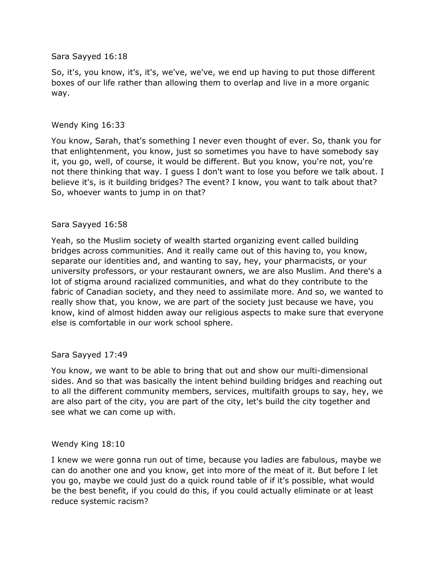## Sara Sayyed 16:18

Sara Sayyed 16:18<br>So, it's, you know, it's, it's, we've, we've, we end up having to put those different boxes of our life rather than allowing them to overlap and live in a more organic way.

## Wendy King 16:33

Wendy King 16:33<br>You know, Sarah, that's something I never even thought of ever. So, thank you for that enlightenment, you know, just so sometimes you have to have somebody say it, you go, well, of course, it would be different. But you know, you're not, you're not there thinking that way. I guess I don't want to lose you before we talk about. I believe it's, is it building bridges? The event? I know, you want to talk about that? So, whoever wants to jump in on that?

## Sara Sayyed 16:58

Sara Sayyed 16:58<br>Yeah, so the Muslim society of wealth started organizing event called building bridges across communities. And it really came out of this having to, you know, separate our identities and, and wanting to say, hey, your pharmacists, or your university professors, or your restaurant owners, we are also Muslim. And there's a lot of stigma around racialized communities, and what do they contribute to the fabric of Canadian society, and they need to assimilate more. And so, we wanted to really show that, you know, we are part of the society just because we have, you know, kind of almost hidden away our religious aspects to make sure that everyone else is comfortable in our work school sphere.

### Sara Sayyed 17:49

Sara Sayyed 17:49<br>You know, we want to be able to bring that out and show our multi-dimensional sides. And so that was basically the intent behind building bridges and reaching out to all the different community members, services, multifaith groups to say, hey, we are also part of the city, you are part of the city, let's build the city together and see what we can come up with.

### Wendy King 18:10

Wendy King 18:10<br>I knew we were gonna run out of time, because you ladies are fabulous, maybe we can do another one and you know, get into more of the meat of it. But before I let you go, maybe we could just do a quick round table of if it's possible, what would be the best benefit, if you could do this, if you could actually eliminate or at least reduce systemic racism?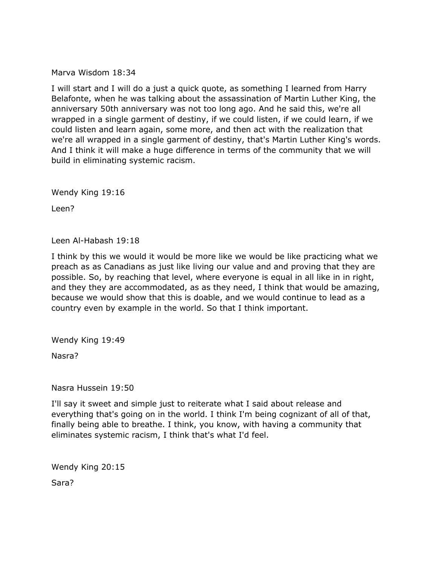Marva Wisdom 18:34

Marva Wisdom 18:34<br>I will start and I will do a just a quick quote, as something I learned from Harry Belafonte, when he was talking about the assassination of Martin Luther King, the anniversary 50th anniversary was not too long ago. And he said this, we're all wrapped in a single garment of destiny, if we could listen, if we could learn, if we could listen and learn again, some more, and then act with the realization that we're all wrapped in a single garment of destiny, that's Martin Luther King's words. And I think it will make a huge difference in terms of the community that we will build in eliminating systemic racism.

Wendy King 19:16<br>Leen?

Leen Al-Habash 19:18

Leen Al-Habash 19:18<br>I think by this we would it would be more like we would be like practicing what we preach as as Canadians as just like living our value and and proving that they are possible. So, by reaching that level, where everyone is equal in all like in in right, and they they are accommodated, as as they need, I think that would be amazing, because we would show that this is doable, and we would continue to lead as a country even by example in the world. So that I think important.

Wendy King 19:49<br>Nasra?

Nasra Hussein 19:50

Nasra Hussein 19:50<br>I'll say it sweet and simple just to reiterate what I said about release and everything that's going on in the world. I think I'm being cognizant of all of that, finally being able to breathe. I think, you know, with having a community that eliminates systemic racism, I think that's what I'd feel.

Wendy King 20:15<br>Sara?